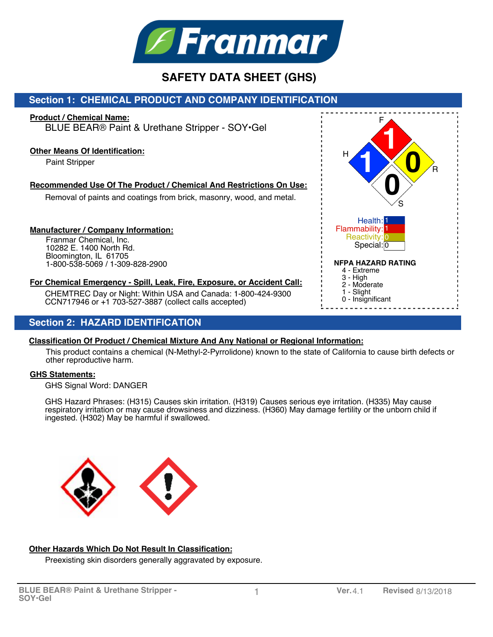

# **Section 1: CHEMICAL PRODUCT AND COMPANY IDENTIFICATION**

### **Product / Chemical Name:**

BLUE BEAR® Paint & Urethane Stripper - SOY•Gel

### **Other Means Of Identification:**

Paint Stripper

## **Recommended Use Of The Product / Chemical And Restrictions On Use:**

Removal of paints and coatings from brick, masonry, wood, and metal.

### **Manufacturer / Company Information:**

Franmar Chemical, Inc. 10282 E. 1400 North Rd. Bloomington, IL 61705 1-800-538-5069 / 1-309-828-2900

## **For Chemical Emergency - Spill, Leak, Fire, Exposure, or Accident Call:**

CHEMTREC Day or Night: Within USA and Canada: 1-800-424-9300 CCN717946 or +1 703-527-3887 (collect calls accepted)

## **Section 2: HAZARD IDENTIFICATION**

### **Classification Of Product / Chemical Mixture And Any National or Regional Information:**

This product contains a chemical (N-Methyl-2-Pyrrolidone) known to the state of California to cause birth defects or other reproductive harm.

### **GHS Statements:**

GHS Signal Word: DANGER

GHS Hazard Phrases: (H315) Causes skin irritation. (H319) Causes serious eye irritation. (H335) May cause respiratory irritation or may cause drowsiness and dizziness. (H360) May damage fertility or the unborn child if ingested. (H302) May be harmful if swallowed.



### **Other Hazards Which Do Not Result In Classification:**

Preexisting skin disorders generally aggravated by exposure.

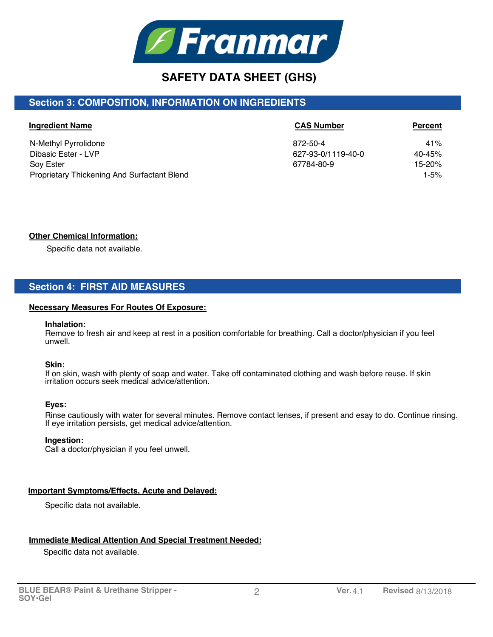

# **Section 3: COMPOSITION, INFORMATION ON INGREDIENTS**

| <b>Ingredient Name</b>                      | <b>CAS Number</b>  | <b>Percent</b> |
|---------------------------------------------|--------------------|----------------|
| N-Methyl Pyrrolidone                        | 872-50-4           | 41%            |
| Dibasic Ester - LVP                         | 627-93-0/1119-40-0 | 40-45%         |
| <b>Sov Ester</b>                            | 67784-80-9         | 15-20%         |
| Proprietary Thickening And Surfactant Blend |                    | $1 - 5%$       |

## **Other Chemical Information:**

Specific data not available.

# **Section 4: FIRST AID MEASURES**

#### **Necessary Measures For Routes Of Exposure:**

#### **Inhalation:**

Remove to fresh air and keep at rest in a position comfortable for breathing. Call a doctor/physician if you feel unwell.

## **Skin:**

If on skin, wash with plenty of soap and water. Take off contaminated clothing and wash before reuse. If skin irritation occurs seek medical advice/attention.

#### **Eyes:**

Rinse cautiously with water for several minutes. Remove contact lenses, if present and esay to do. Continue rinsing. If eye irritation persists, get medical advice/attention.

#### **Ingestion:**

Call a doctor/physician if you feel unwell.

### **Important Symptoms/Effects, Acute and Delayed:**

Specific data not available.

### **Immediate Medical Attention And Special Treatment Needed:**

Specific data not available.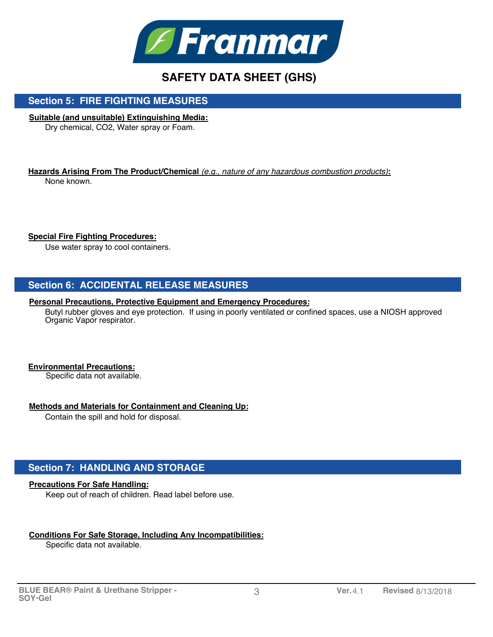

## **Section 5: FIRE FIGHTING MEASURES**

### **Suitable (and unsuitable) Extinguishing Media:**

Dry chemical, CO2, Water spray or Foam.

**Hazards Arising From The Product/Chemical** *(e.g., nature of any hazardous combustion products)***:** None known.

### **Special Fire Fighting Procedures:**

Use water spray to cool containers.

## **Section 6: ACCIDENTAL RELEASE MEASURES**

#### **Personal Precautions, Protective Equipment and Emergency Procedures:**

Butyl rubber gloves and eye protection. If using in poorly ventilated or confined spaces, use a NIOSH approved Organic Vapor respirator.

### **Environmental Precautions:**

Specific data not available.

#### **Methods and Materials for Containment and Cleaning Up:**

Contain the spill and hold for disposal.

## **Section 7: HANDLING AND STORAGE**

### **Precautions For Safe Handling:**

Keep out of reach of children. Read label before use.

### **Conditions For Safe Storage, Including Any Incompatibilities:**

Specific data not available.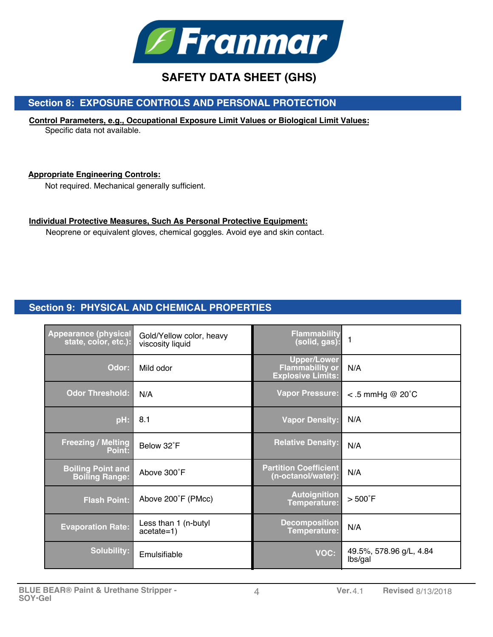

# **Section 8: EXPOSURE CONTROLS AND PERSONAL PROTECTION**

# **Control Parameters, e.g., Occupational Exposure Limit Values or Biological Limit Values:**

Specific data not available.

## **Appropriate Engineering Controls:**

Not required. Mechanical generally sufficient.

## **Individual Protective Measures, Such As Personal Protective Equipment:**

Neoprene or equivalent gloves, chemical goggles. Avoid eye and skin contact.

# **Section 9: PHYSICAL AND CHEMICAL PROPERTIES**

| <b>Appearance (physical</b><br>state, color, etc.): | Gold/Yellow color, heavy<br>viscosity liquid | <b>Flammability</b><br>(solid, gas):                                     | $\mathbf{1}$                       |
|-----------------------------------------------------|----------------------------------------------|--------------------------------------------------------------------------|------------------------------------|
| Odor:                                               | Mild odor                                    | <b>Upper/Lower</b><br><b>Flammability or</b><br><b>Explosive Limits:</b> | N/A                                |
| <b>Odor Threshold:</b>                              | N/A                                          | <b>Vapor Pressure:</b>                                                   | $<$ .5 mmHg @ 20 $^{\circ}$ C      |
| pH:                                                 | 8.1                                          | <b>Vapor Density:</b>                                                    | N/A                                |
| <b>Freezing / Melting</b><br>Point:                 | Below 32°F                                   | <b>Relative Density:</b>                                                 | N/A                                |
| <b>Boiling Point and</b><br><b>Boiling Range:</b>   | Above 300°F                                  | <b>Partition Coefficient</b><br>(n-octanol/water):                       | N/A                                |
| <b>Flash Point:</b>                                 | Above 200°F (PMcc)                           | <b>Autoignition</b><br>Temperature:                                      | $>500^{\circ}$ F                   |
| <b>Evaporation Rate:</b>                            | Less than 1 (n-butyl<br>$acetate=1)$         | <b>Decomposition</b><br>Temperature:                                     | N/A                                |
| <b>Solubility:</b>                                  | Emulsifiable                                 | <b>VOC:</b>                                                              | 49.5%, 578.96 g/L, 4.84<br>lbs/gal |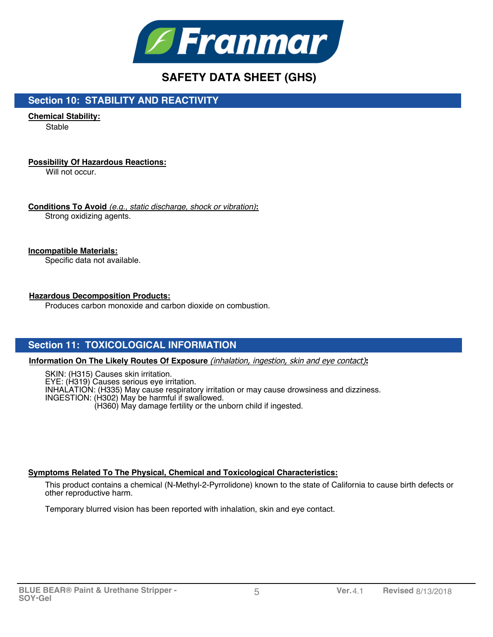

## **Section 10: STABILITY AND REACTIVITY**

**Chemical Stability:**

**Stable** 

## **Possibility Of Hazardous Reactions:**

Will not occur.

**Conditions To Avoid** *(e.g., static discharge, shock or vibration)***:** Strong oxidizing agents.

## **Incompatible Materials:**

Specific data not available.

## **Hazardous Decomposition Products:**

Produces carbon monoxide and carbon dioxide on combustion.

# **Section 11: TOXICOLOGICAL INFORMATION**

**Information On The Likely Routes Of Exposure** (inhalation, ingestion, skin and eye contact)**:**

SKIN: (H315) Causes skin irritation. EYE: (H319) Causes serious eye irritation. INHALATION: (H335) May cause respiratory irritation or may cause drowsiness and dizziness. INGESTION: (H302) May be harmful if swallowed. (H360) May damage fertility or the unborn child if ingested.

### **Symptoms Related To The Physical, Chemical and Toxicological Characteristics:**

This product contains a chemical (N-Methyl-2-Pyrrolidone) known to the state of California to cause birth defects or other reproductive harm.

Temporary blurred vision has been reported with inhalation, skin and eye contact.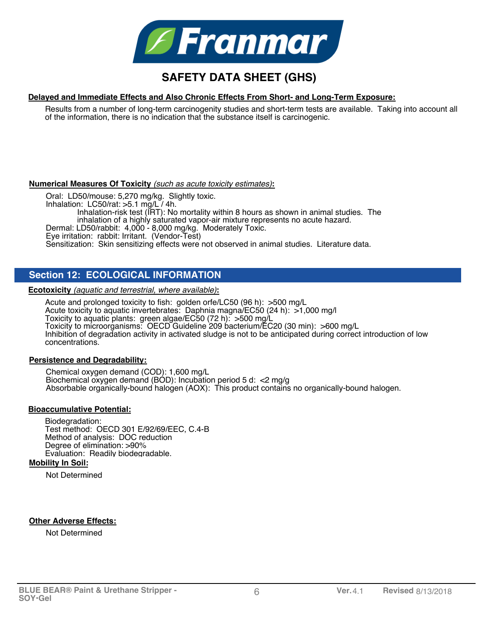

#### **Delayed and Immediate Effects and Also Chronic Effects From Short- and Long-Term Exposure:**

Results from a number of long-term carcinogenity studies and short-term tests are available. Taking into account all of the information, there is no indication that the substance itself is carcinogenic.

#### **Numerical Measures Of Toxicity** *(such as acute toxicity estimates)***:**

Oral: LD50/mouse: 5,270 mg/kg. Slightly toxic. Inhalation: LC50/rat: >5.1 mg/L / 4h. Inhalation-risk test (IRT): No mortality within 8 hours as shown in animal studies. The inhalation of a highly saturated vapor-air mixture represents no acute hazard. Dermal: LD50/rabbit: 4,000 - 8,000 mg/kg. Moderately Toxic. Eye irritation: rabbit: Irritant. (Vendor-Test) Sensitization: Skin sensitizing effects were not observed in animal studies. Literature data.

## **Section 12: ECOLOGICAL INFORMATION**

**Ecotoxicity** *(aquatic and terrestrial, where available)***:**

Acute and prolonged toxicity to fish: golden orfe/LC50 (96 h): >500 mg/L Acute toxicity to aquatic invertebrates: Daphnia magna/EC50 (24 h): >1,000 mg/l Toxicity to aquatic plants: green algae/EC50 (72 h): >500 mg/L Toxicity to microorganisms: OECD Guideline 209 bacterium/EC20 (30 min): >600 mg/L Inhibition of degradation activity in activated sludge is not to be anticipated during correct introduction of low concentrations.

### **Persistence and Degradability:**

Chemical oxygen demand (COD): 1,600 mg/L Biochemical oxygen demand (BOD): Incubation period 5 d:  $\leq$  mg/g Absorbable organically-bound halogen (AOX): This product contains no organically-bound halogen.

#### **Bioaccumulative Potential:**

Biodegradation: Test method: OECD 301 E/92/69/EEC, C.4-B Method of analysis: DOC reduction Degree of elimination: >90% Evaluation: Readily biodegradable.

#### **Mobility In Soil:**

Not Determined

#### **Other Adverse Effects:**

Not Determined